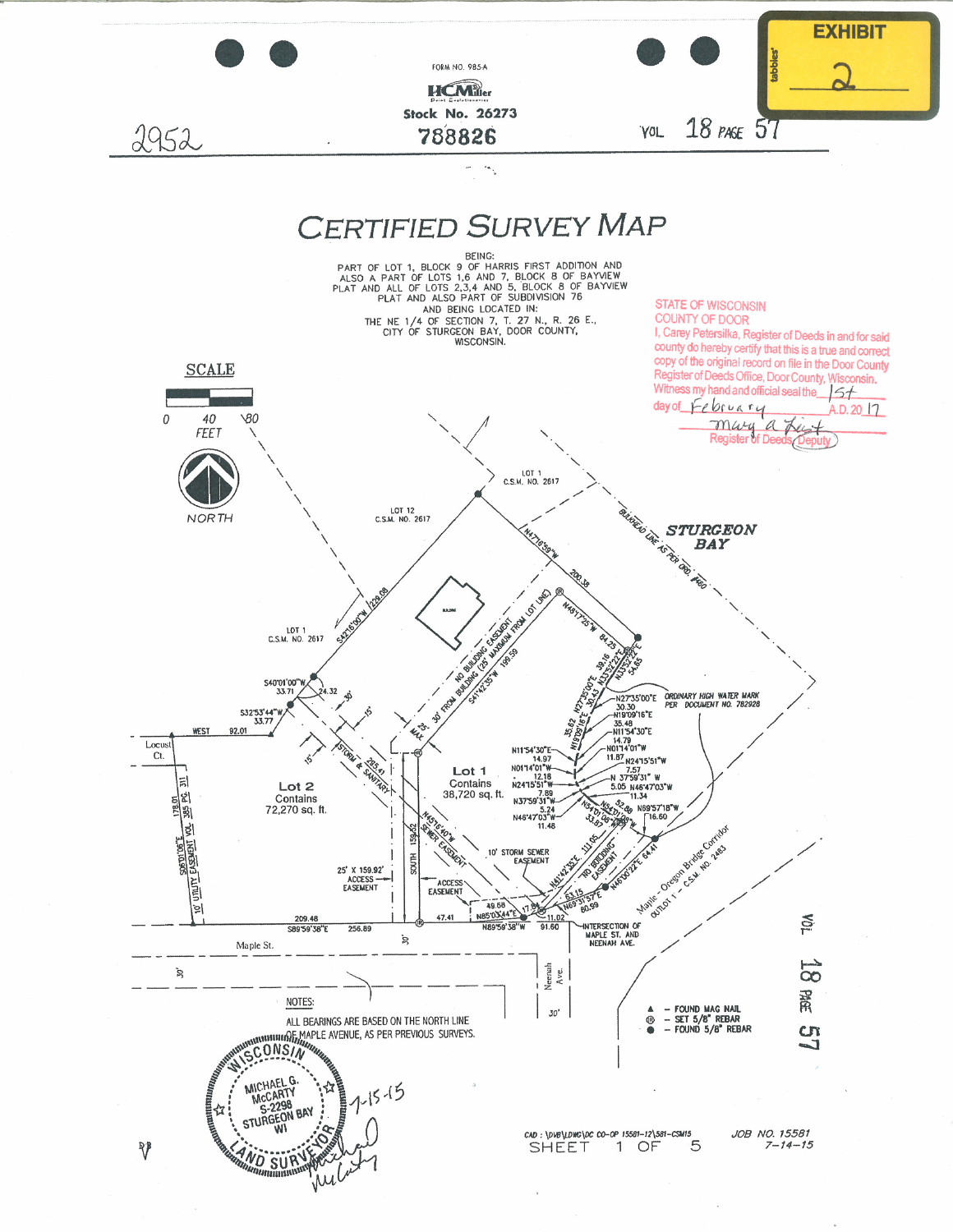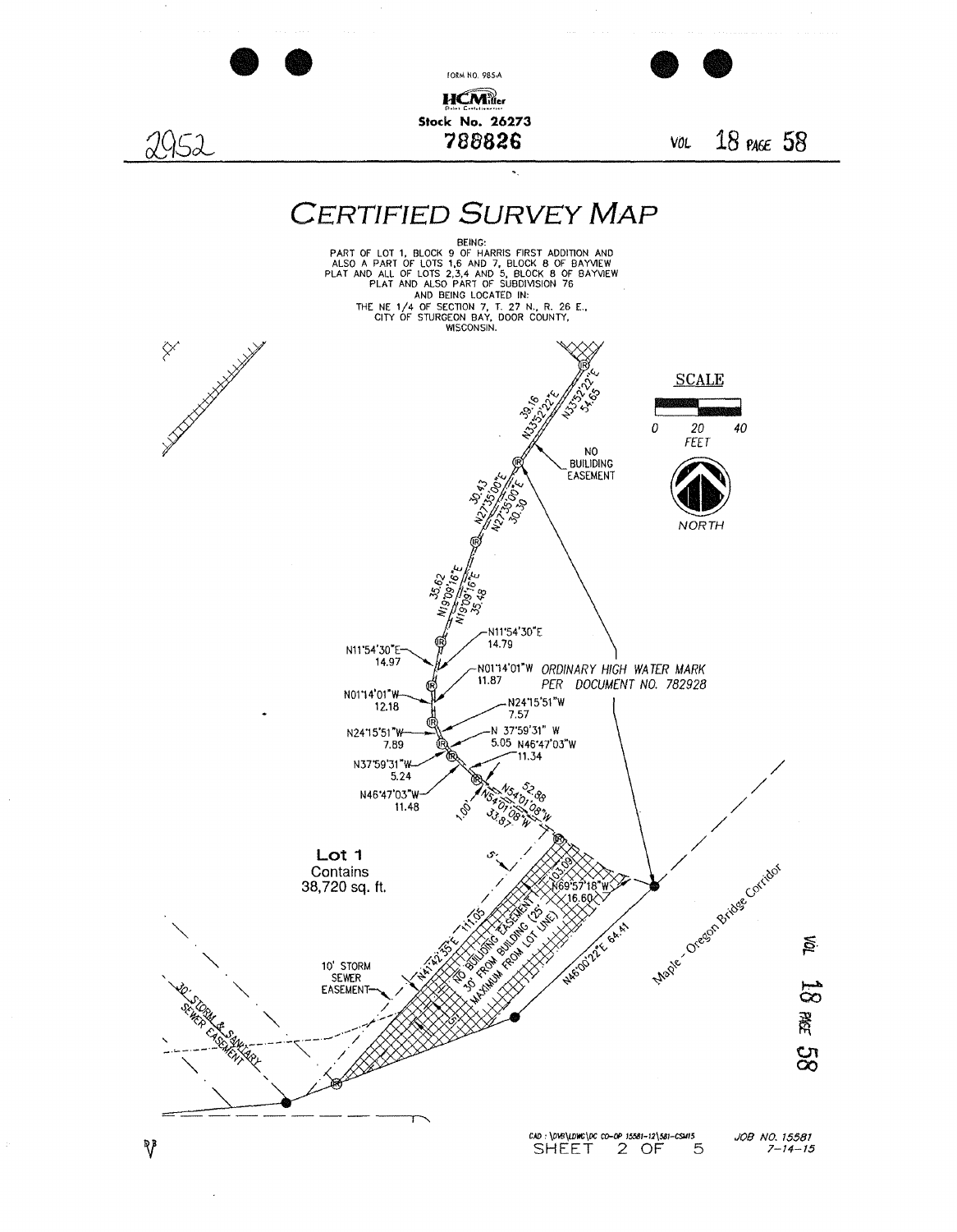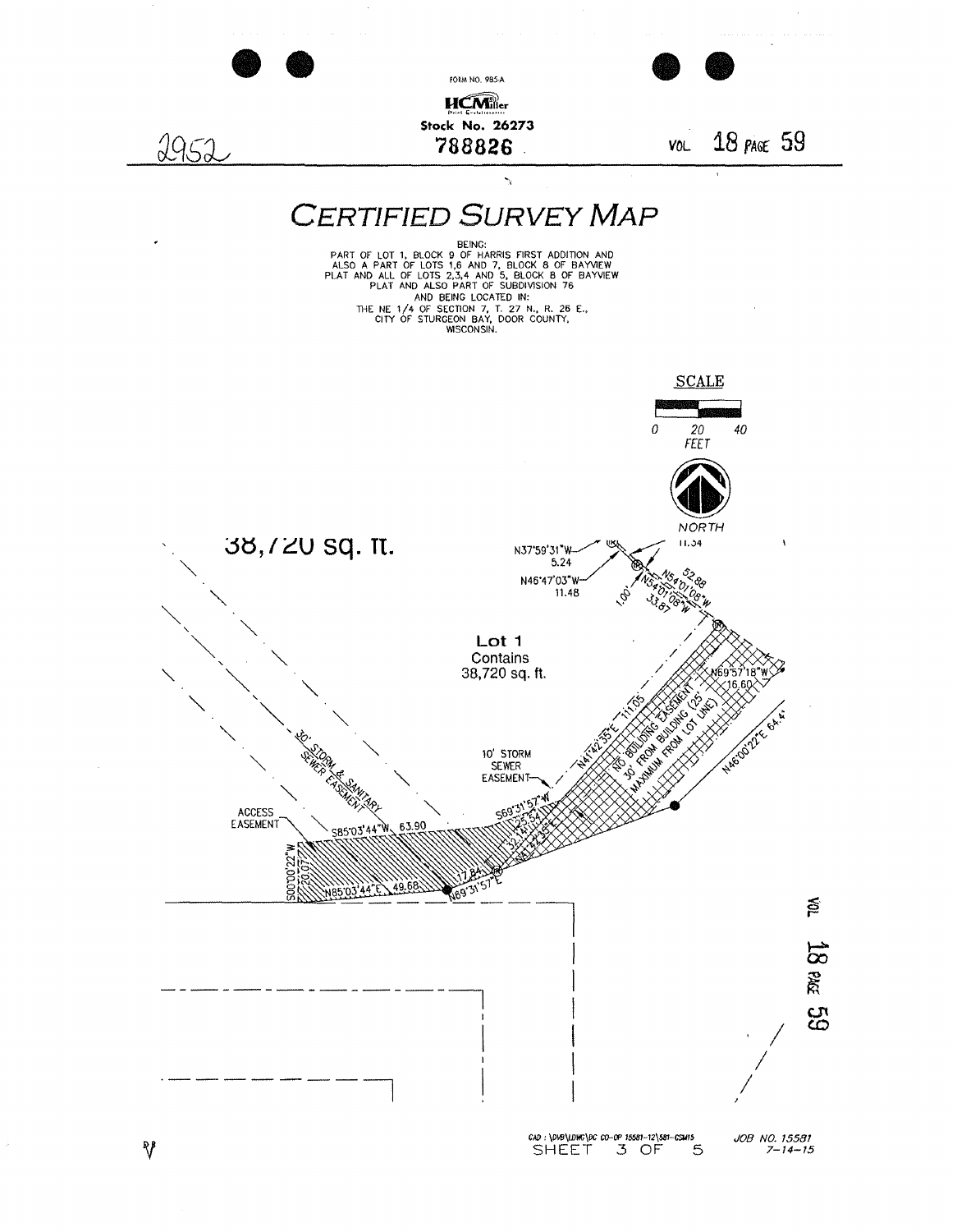

 $\sqrt[p]{ }$ 

JOB NO. 15581<br>7-14-15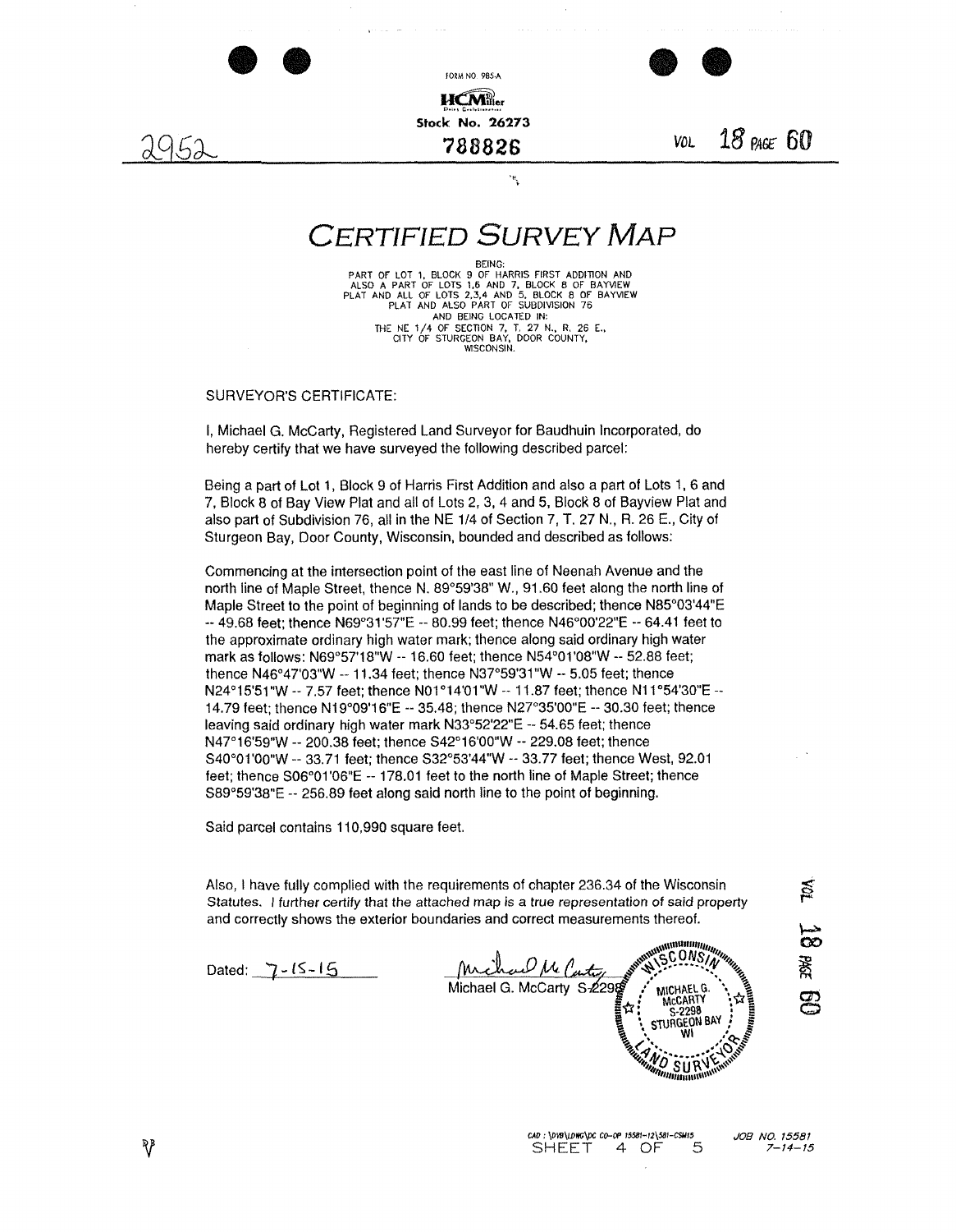





**788826** *VOL* 18 *PA6t* **60** 

## **CERTIFIED SURVEY MAP**

 $\ddot{\phantom{a}}$ 

BEING:

PART OF LOT 1, BLOCK 9 OF HARRIS FIRST ADDITION AND<br>ALSO A PART OF LOTS 1,6 AND 7, BLOCK 8 OF BAYVIEW<br>PLAT AND ALL OF LOTS 2,3,4 AND 5, BLOCK 8 OF BAYVIEW<br>PLAT AND ALSO PART OF SUBDIVISION 76 AND BEING LOCATED IN: THE NE 1/4 OF SECTION 7, T. 27 N., R. 26 E., CITY OF STURGEON BAY. DOOR COUNTY, WISCONSIN.

SURVEYOR'S CERTIFICATE:

I, Michael G. McCarty, Registered Land Surveyor for Baudhuin Incorporated, do hereby certify that we have surveyed the following described parcel:

Being a part of Lot 1 , Block 9 of Harris First Addition and also a part of Lots 1, 6 and 7, Block 8 of Bay View Plat and all of Lots 2, 3, 4 and 5, Block 8 of Bayview Plat and also part of Subdivision 76, all in the NE 1/4 of Section 7, T. 27 N., R. 26 E., City of Sturgeon Bay, Door County, Wisconsin, bounded and described as follows:

Commencing at the intersection point of the east line of Neenah Avenue and the north line of Maple Street, thence N. 89°59'38" W., 91.60 feet along the north line of Maple Street to the point of beginning of lands to be described; thence N85°03'44"E  $-49.68$  feet; thence N69°31'57"E  $-80.99$  feet; thence N46°00'22"E  $-64.41$  feet to the approximate ordinary high water mark; thence along said ordinary high water mark as follows: N69°57'18"W -- 16.60 feet; thence N54°01'08"W -- 52.88 feet; thence N46°47'03"W  $-$  11.34 feet; thence N37°59'31"W  $-$  5.05 feet; thence N24°15'51 "W -- 7.57 feet; thence N01 °14'01 "W -- 11.87 feet; thence N11 °54'30"E -- 14.79 feet; thence N19°09'16"E -- 35.48; thence N27°35'00"E -- 30.30 feet; thence leaving said ordinary high water mark N33°52'22"E -- 54.65 feet; thence N47°16'59"W --200.38 feet; thence S42°16'00"W --229.08 feet; thence S40°01'00"W --33.71 feet; thence S32°53'44"W --33.77 feet; thence West, 92.01 feet; thence S06°01'06"E -- 178.01 feet to the north line of Maple Street; thence S89°59'38"E -- 256.89 feet along said north line to the point of beginning.

Said parcel contains 110,990 square feet

Also, I have fully complied with the requirements of chapter 236.34 of the Wisconsin Statutes. I further certify that the attached map is a true representation of said property and correctly shows the exterior boundaries and correct measurements thereof.

Dated:  $7 - 15 - 15$ 

**William** ONS Michael G. McCarty MICHAEL G. MCCARTY  $S-2298$ STURGEON BAY SUP

≋ 粥 සූ

CAD : \DV8\LDWG\DC CO-OP 15581-12\581-CSM15<br>SHEET 4 OF 5 SHEET 4 OF